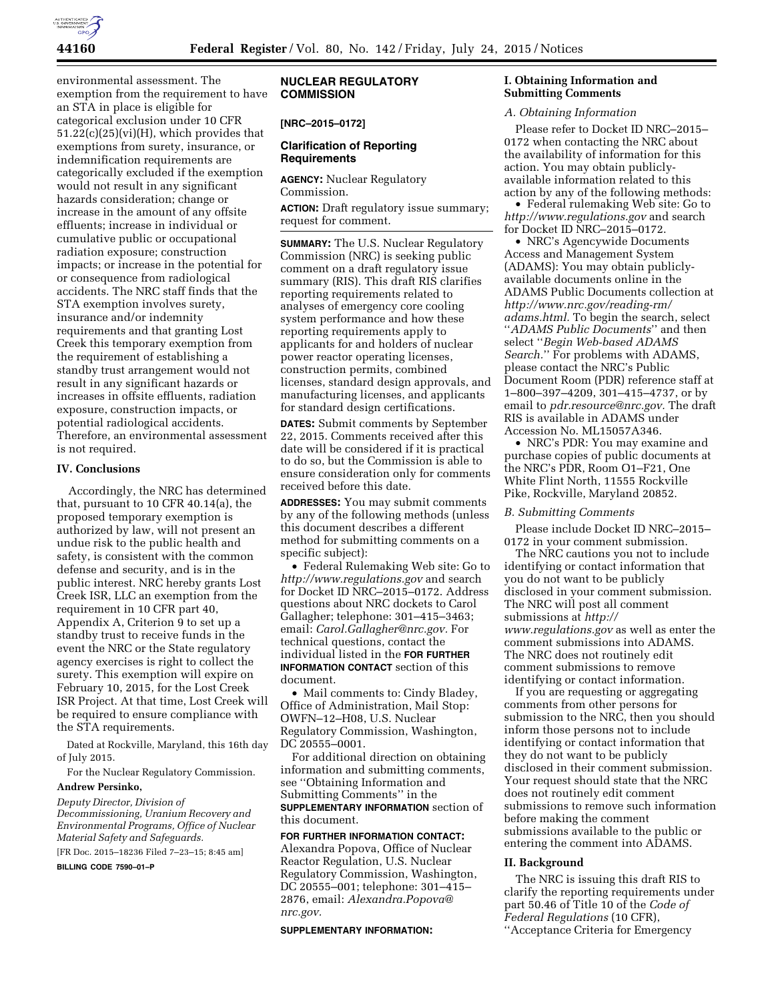

environmental assessment. The exemption from the requirement to have an STA in place is eligible for categorical exclusion under 10 CFR  $51.22(c)(25)(vi)(H)$ , which provides that exemptions from surety, insurance, or indemnification requirements are categorically excluded if the exemption would not result in any significant hazards consideration; change or increase in the amount of any offsite effluents; increase in individual or cumulative public or occupational radiation exposure; construction impacts; or increase in the potential for or consequence from radiological accidents. The NRC staff finds that the STA exemption involves surety, insurance and/or indemnity requirements and that granting Lost Creek this temporary exemption from the requirement of establishing a standby trust arrangement would not result in any significant hazards or increases in offsite effluents, radiation exposure, construction impacts, or potential radiological accidents. Therefore, an environmental assessment is not required.

#### **IV. Conclusions**

Accordingly, the NRC has determined that, pursuant to 10 CFR 40.14(a), the proposed temporary exemption is authorized by law, will not present an undue risk to the public health and safety, is consistent with the common defense and security, and is in the public interest. NRC hereby grants Lost Creek ISR, LLC an exemption from the requirement in 10 CFR part 40, Appendix A, Criterion 9 to set up a standby trust to receive funds in the event the NRC or the State regulatory agency exercises is right to collect the surety. This exemption will expire on February 10, 2015, for the Lost Creek ISR Project. At that time, Lost Creek will be required to ensure compliance with the STA requirements.

Dated at Rockville, Maryland, this 16th day of July 2015.

For the Nuclear Regulatory Commission.

# **Andrew Persinko,**

*Deputy Director, Division of Decommissioning, Uranium Recovery and Environmental Programs, Office of Nuclear Material Safety and Safeguards.* 

[FR Doc. 2015–18236 Filed 7–23–15; 8:45 am]

**BILLING CODE 7590–01–P** 

# **NUCLEAR REGULATORY COMMISSION**

# **[NRC–2015–0172]**

## **Clarification of Reporting Requirements**

**AGENCY:** Nuclear Regulatory Commission. **ACTION:** Draft regulatory issue summary; request for comment.

**SUMMARY:** The U.S. Nuclear Regulatory Commission (NRC) is seeking public comment on a draft regulatory issue summary (RIS). This draft RIS clarifies reporting requirements related to analyses of emergency core cooling system performance and how these reporting requirements apply to applicants for and holders of nuclear power reactor operating licenses, construction permits, combined licenses, standard design approvals, and manufacturing licenses, and applicants for standard design certifications.

**DATES:** Submit comments by September 22, 2015. Comments received after this date will be considered if it is practical to do so, but the Commission is able to ensure consideration only for comments received before this date.

**ADDRESSES:** You may submit comments by any of the following methods (unless this document describes a different method for submitting comments on a specific subject):

• Federal Rulemaking Web site: Go to *<http://www.regulations.gov>* and search for Docket ID NRC–2015–0172. Address questions about NRC dockets to Carol Gallagher; telephone: 301–415–3463; email: *[Carol.Gallagher@nrc.gov.](mailto:Carol.Gallagher@nrc.gov)* For technical questions, contact the individual listed in the **FOR FURTHER INFORMATION CONTACT** section of this document.

• Mail comments to: Cindy Bladey, Office of Administration, Mail Stop: OWFN–12–H08, U.S. Nuclear Regulatory Commission, Washington, DC 20555–0001.

For additional direction on obtaining information and submitting comments, see ''Obtaining Information and Submitting Comments'' in the **SUPPLEMENTARY INFORMATION** section of this document.

**FOR FURTHER INFORMATION CONTACT:**  Alexandra Popova, Office of Nuclear Reactor Regulation, U.S. Nuclear Regulatory Commission, Washington, DC 20555–001; telephone: 301–415– 2876, email: *[Alexandra.Popova@](mailto:Alexandra.Popova@nrc.gov) [nrc.gov.](mailto:Alexandra.Popova@nrc.gov)* 

#### **SUPPLEMENTARY INFORMATION:**

## **I. Obtaining Information and Submitting Comments**

#### *A. Obtaining Information*

Please refer to Docket ID NRC–2015– 0172 when contacting the NRC about the availability of information for this action. You may obtain publiclyavailable information related to this action by any of the following methods:

• Federal rulemaking Web site: Go to *<http://www.regulations.gov>* and search for Docket ID NRC–2015–0172.

• NRC's Agencywide Documents Access and Management System (ADAMS): You may obtain publiclyavailable documents online in the ADAMS Public Documents collection at *[http://www.nrc.gov/reading-rm/](http://www.nrc.gov/reading-rm/adams.html) [adams.html.](http://www.nrc.gov/reading-rm/adams.html)* To begin the search, select ''*ADAMS Public Documents*'' and then select ''*Begin Web-based ADAMS Search.*'' For problems with ADAMS, please contact the NRC's Public Document Room (PDR) reference staff at 1–800–397–4209, 301–415–4737, or by email to *[pdr.resource@nrc.gov.](mailto:pdr.resource@nrc.gov)* The draft RIS is available in ADAMS under Accession No. ML15057A346.

• NRC's PDR: You may examine and purchase copies of public documents at the NRC's PDR, Room O1–F21, One White Flint North, 11555 Rockville Pike, Rockville, Maryland 20852.

### *B. Submitting Comments*

Please include Docket ID NRC–2015– 0172 in your comment submission.

The NRC cautions you not to include identifying or contact information that you do not want to be publicly disclosed in your comment submission. The NRC will post all comment submissions at *[http://](http://www.regulations.gov) [www.regulations.gov](http://www.regulations.gov)* as well as enter the comment submissions into ADAMS. The NRC does not routinely edit comment submissions to remove identifying or contact information.

If you are requesting or aggregating comments from other persons for submission to the NRC, then you should inform those persons not to include identifying or contact information that they do not want to be publicly disclosed in their comment submission. Your request should state that the NRC does not routinely edit comment submissions to remove such information before making the comment submissions available to the public or entering the comment into ADAMS.

#### **II. Background**

The NRC is issuing this draft RIS to clarify the reporting requirements under part 50.46 of Title 10 of the *Code of Federal Regulations* (10 CFR), ''Acceptance Criteria for Emergency